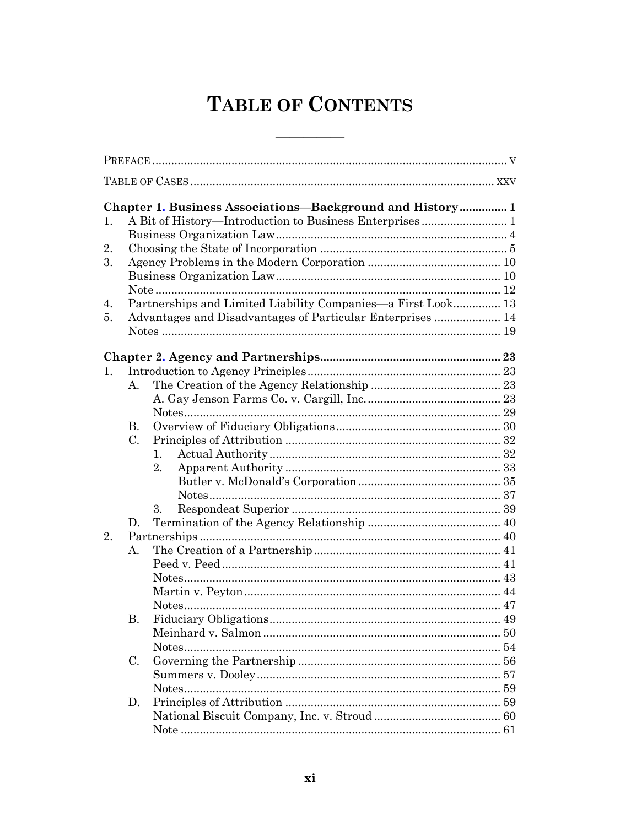## **TABLE OF CONTENTS**

the control of the control of the control

| 1. |                | <b>Chapter 1. Business Associations-Background and History 1</b> |  |
|----|----------------|------------------------------------------------------------------|--|
| 2. |                |                                                                  |  |
| 3. |                |                                                                  |  |
|    |                |                                                                  |  |
|    |                |                                                                  |  |
| 4. |                | Partnerships and Limited Liability Companies—a First Look 13     |  |
| 5. |                | Advantages and Disadvantages of Particular Enterprises  14       |  |
|    |                |                                                                  |  |
|    |                |                                                                  |  |
|    |                |                                                                  |  |
| 1. |                |                                                                  |  |
|    | $\mathbf{A}$ . |                                                                  |  |
|    |                |                                                                  |  |
|    |                |                                                                  |  |
|    | В.             |                                                                  |  |
|    | C.             |                                                                  |  |
|    |                | 1.                                                               |  |
|    |                | 2.                                                               |  |
|    |                |                                                                  |  |
|    |                |                                                                  |  |
|    |                | 3.                                                               |  |
|    | D.             |                                                                  |  |
| 2. |                |                                                                  |  |
|    | А.             |                                                                  |  |
|    |                |                                                                  |  |
|    |                |                                                                  |  |
|    |                |                                                                  |  |
|    |                |                                                                  |  |
|    | В.             |                                                                  |  |
|    |                |                                                                  |  |
|    |                |                                                                  |  |
|    | C.             |                                                                  |  |
|    |                |                                                                  |  |
|    |                |                                                                  |  |
|    | D.             |                                                                  |  |
|    |                |                                                                  |  |
|    |                |                                                                  |  |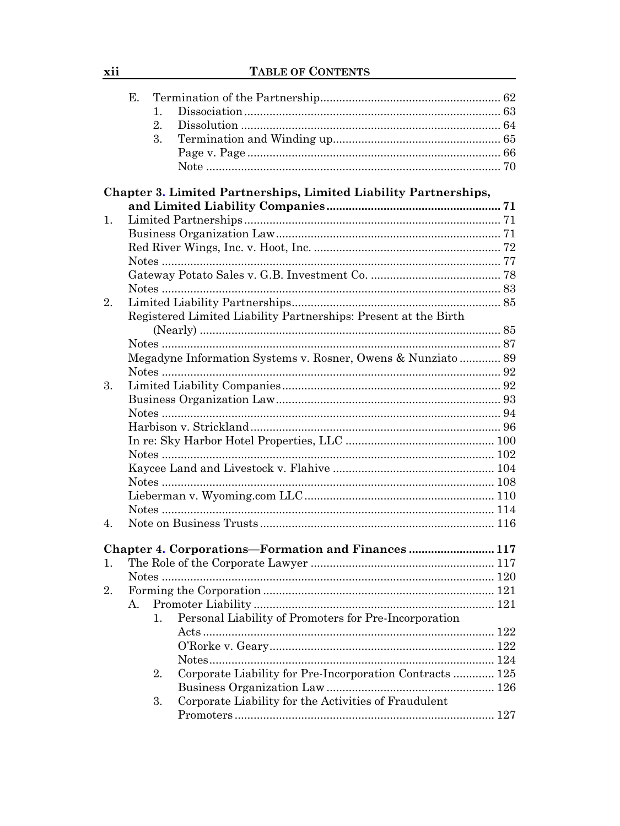|    | Е. |                                                                         |  |
|----|----|-------------------------------------------------------------------------|--|
|    |    | 1.                                                                      |  |
|    |    | $\overline{2}$ .                                                        |  |
|    |    | 3.                                                                      |  |
|    |    |                                                                         |  |
|    |    |                                                                         |  |
|    |    |                                                                         |  |
|    |    | <b>Chapter 3. Limited Partnerships, Limited Liability Partnerships,</b> |  |
|    |    |                                                                         |  |
| 1. |    |                                                                         |  |
|    |    |                                                                         |  |
|    |    |                                                                         |  |
|    |    |                                                                         |  |
|    |    |                                                                         |  |
|    |    |                                                                         |  |
| 2. |    |                                                                         |  |
|    |    |                                                                         |  |
|    |    | Registered Limited Liability Partnerships: Present at the Birth         |  |
|    |    |                                                                         |  |
|    |    |                                                                         |  |
|    |    | Megadyne Information Systems v. Rosner, Owens & Nunziato 89             |  |
|    |    |                                                                         |  |
| 3. |    |                                                                         |  |
|    |    |                                                                         |  |
|    |    |                                                                         |  |
|    |    |                                                                         |  |
|    |    |                                                                         |  |
|    |    |                                                                         |  |
|    |    |                                                                         |  |
|    |    |                                                                         |  |
|    |    |                                                                         |  |
|    |    |                                                                         |  |
| 4. |    |                                                                         |  |
|    |    |                                                                         |  |
|    |    | Chapter 4. Corporations-Formation and Finances117                       |  |
| 1. |    |                                                                         |  |
|    |    |                                                                         |  |
| 2. |    |                                                                         |  |
|    | А. |                                                                         |  |
|    |    | Personal Liability of Promoters for Pre-Incorporation<br>1.             |  |
|    |    |                                                                         |  |
|    |    |                                                                         |  |
|    |    |                                                                         |  |
|    |    | Corporate Liability for Pre-Incorporation Contracts  125<br>2.          |  |
|    |    |                                                                         |  |
|    |    | Corporate Liability for the Activities of Fraudulent<br>3.              |  |
|    |    |                                                                         |  |
|    |    |                                                                         |  |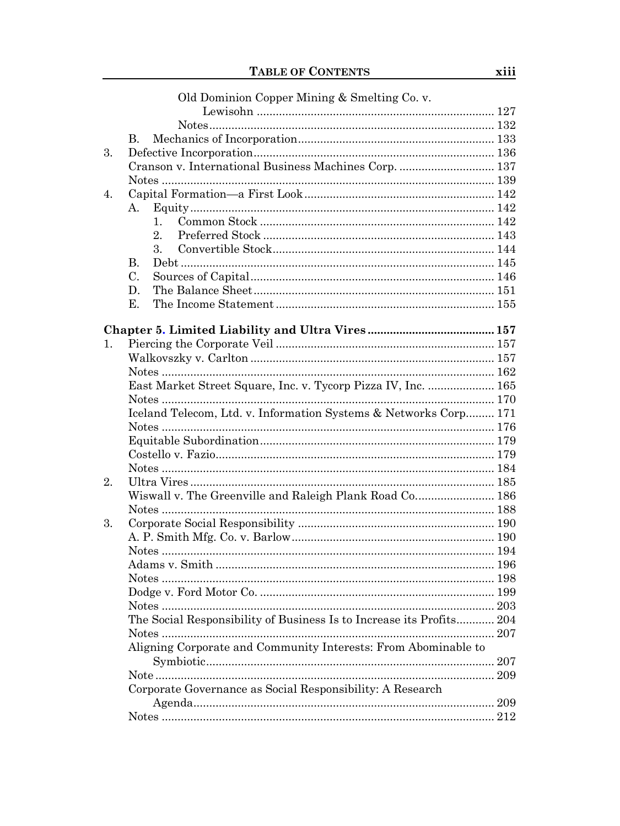|         | Old Dominion Copper Mining & Smelting Co. v.                         |  |
|---------|----------------------------------------------------------------------|--|
|         |                                                                      |  |
|         |                                                                      |  |
|         | $\mathbf{B}$ .                                                       |  |
| 3.      |                                                                      |  |
|         | Cranson v. International Business Machines Corp.  137                |  |
|         |                                                                      |  |
| 4.      |                                                                      |  |
|         | А.                                                                   |  |
|         | 1.                                                                   |  |
|         | $\overline{2}$ .                                                     |  |
|         | 3.                                                                   |  |
|         | <b>B.</b>                                                            |  |
|         | C.                                                                   |  |
|         | D.                                                                   |  |
|         | Ε.                                                                   |  |
|         |                                                                      |  |
|         |                                                                      |  |
| $1_{-}$ |                                                                      |  |
|         |                                                                      |  |
|         |                                                                      |  |
|         | East Market Street Square, Inc. v. Tycorp Pizza IV, Inc.  165        |  |
|         |                                                                      |  |
|         | Iceland Telecom, Ltd. v. Information Systems & Networks Corp 171     |  |
|         |                                                                      |  |
|         |                                                                      |  |
|         |                                                                      |  |
|         |                                                                      |  |
| 2.      |                                                                      |  |
|         | Wiswall v. The Greenville and Raleigh Plank Road Co 186              |  |
|         |                                                                      |  |
| 3.      |                                                                      |  |
|         |                                                                      |  |
|         |                                                                      |  |
|         |                                                                      |  |
|         |                                                                      |  |
|         |                                                                      |  |
|         | Notes                                                                |  |
|         | The Social Responsibility of Business Is to Increase its Profits 204 |  |
|         |                                                                      |  |
|         | Aligning Corporate and Community Interests: From Abominable to       |  |
|         |                                                                      |  |
|         | Corporate Governance as Social Responsibility: A Research            |  |
|         |                                                                      |  |
|         |                                                                      |  |
|         |                                                                      |  |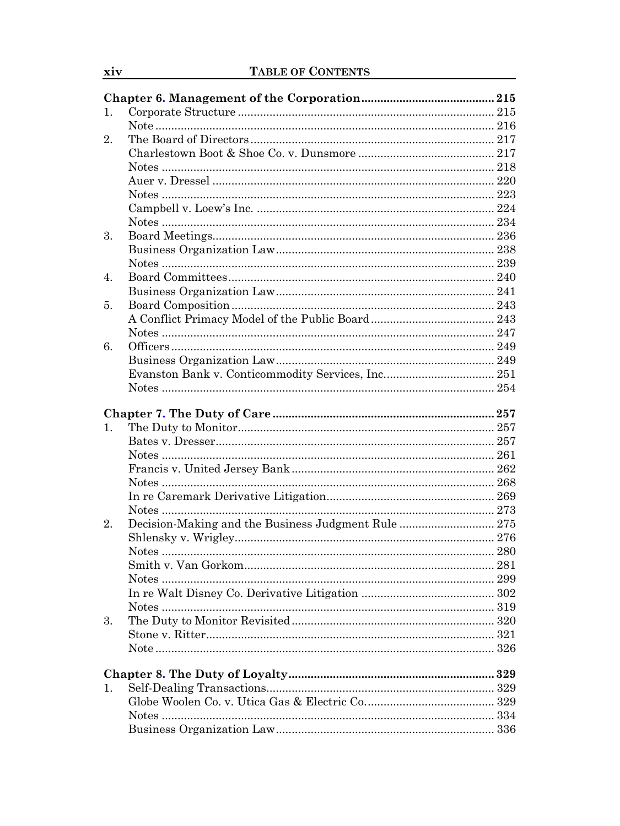| 1. |                                                     |     |
|----|-----------------------------------------------------|-----|
|    |                                                     |     |
| 2. |                                                     |     |
|    |                                                     |     |
|    |                                                     |     |
|    |                                                     |     |
|    |                                                     |     |
|    |                                                     |     |
|    |                                                     |     |
| 3. |                                                     |     |
|    |                                                     |     |
|    |                                                     |     |
| 4. |                                                     |     |
|    |                                                     |     |
| 5. |                                                     |     |
|    |                                                     |     |
|    |                                                     |     |
| 6. |                                                     |     |
|    |                                                     |     |
|    |                                                     |     |
|    |                                                     |     |
|    |                                                     |     |
|    |                                                     |     |
| 1. |                                                     |     |
|    |                                                     |     |
|    | Notes                                               |     |
|    |                                                     |     |
|    | Notes                                               |     |
|    |                                                     |     |
|    |                                                     |     |
| 2. | Decision-Making and the Business Judgment Rule  275 |     |
|    |                                                     |     |
|    |                                                     |     |
|    |                                                     |     |
|    |                                                     |     |
|    |                                                     |     |
|    |                                                     |     |
| 3. |                                                     |     |
|    |                                                     | 321 |
|    |                                                     |     |
|    |                                                     |     |
|    |                                                     |     |
| 1. |                                                     |     |
|    |                                                     |     |
|    |                                                     |     |
|    |                                                     |     |

 $\frac{xiv}{i}$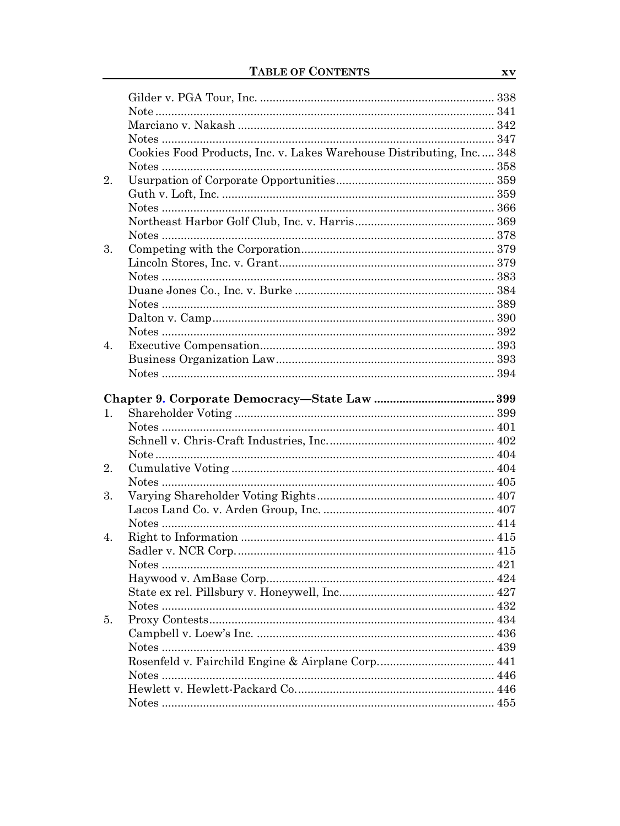|    | Cookies Food Products, Inc. v. Lakes Warehouse Distributing, Inc 348 |  |
|----|----------------------------------------------------------------------|--|
|    |                                                                      |  |
| 2. |                                                                      |  |
|    |                                                                      |  |
|    |                                                                      |  |
|    |                                                                      |  |
|    |                                                                      |  |
| 3. |                                                                      |  |
|    |                                                                      |  |
|    |                                                                      |  |
|    |                                                                      |  |
|    |                                                                      |  |
|    |                                                                      |  |
|    |                                                                      |  |
| 4. |                                                                      |  |
|    |                                                                      |  |
|    |                                                                      |  |
|    |                                                                      |  |
|    |                                                                      |  |
| 1. |                                                                      |  |
|    |                                                                      |  |
|    |                                                                      |  |
|    |                                                                      |  |
| 2. |                                                                      |  |
|    |                                                                      |  |
| 3. |                                                                      |  |
|    |                                                                      |  |
|    |                                                                      |  |
| 4. |                                                                      |  |
|    |                                                                      |  |
|    |                                                                      |  |
|    |                                                                      |  |
|    |                                                                      |  |
|    |                                                                      |  |
|    |                                                                      |  |
| 5. |                                                                      |  |
|    |                                                                      |  |
|    |                                                                      |  |
|    |                                                                      |  |
|    |                                                                      |  |
|    |                                                                      |  |
|    |                                                                      |  |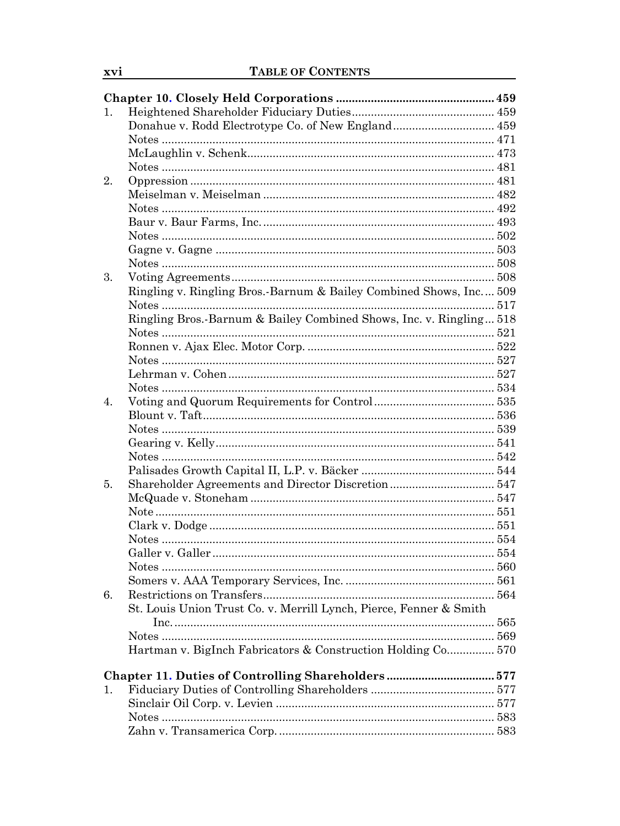| 1.<br>2.<br>3.<br>Ringling v. Ringling Bros.-Barnum & Bailey Combined Shows, Inc 509<br>Ringling Bros.-Barnum & Bailey Combined Shows, Inc. v. Ringling 518<br>4.<br>5.<br>6.<br>St. Louis Union Trust Co. v. Merrill Lynch, Pierce, Fenner & Smith<br>Hartman v. BigInch Fabricators & Construction Holding Co 570<br>Chapter 11. Duties of Controlling Shareholders 577<br>1. |  |  |
|---------------------------------------------------------------------------------------------------------------------------------------------------------------------------------------------------------------------------------------------------------------------------------------------------------------------------------------------------------------------------------|--|--|
|                                                                                                                                                                                                                                                                                                                                                                                 |  |  |
|                                                                                                                                                                                                                                                                                                                                                                                 |  |  |
|                                                                                                                                                                                                                                                                                                                                                                                 |  |  |
|                                                                                                                                                                                                                                                                                                                                                                                 |  |  |
|                                                                                                                                                                                                                                                                                                                                                                                 |  |  |
|                                                                                                                                                                                                                                                                                                                                                                                 |  |  |
|                                                                                                                                                                                                                                                                                                                                                                                 |  |  |
|                                                                                                                                                                                                                                                                                                                                                                                 |  |  |
|                                                                                                                                                                                                                                                                                                                                                                                 |  |  |
|                                                                                                                                                                                                                                                                                                                                                                                 |  |  |
|                                                                                                                                                                                                                                                                                                                                                                                 |  |  |
|                                                                                                                                                                                                                                                                                                                                                                                 |  |  |
|                                                                                                                                                                                                                                                                                                                                                                                 |  |  |
|                                                                                                                                                                                                                                                                                                                                                                                 |  |  |
|                                                                                                                                                                                                                                                                                                                                                                                 |  |  |
|                                                                                                                                                                                                                                                                                                                                                                                 |  |  |
|                                                                                                                                                                                                                                                                                                                                                                                 |  |  |
|                                                                                                                                                                                                                                                                                                                                                                                 |  |  |
|                                                                                                                                                                                                                                                                                                                                                                                 |  |  |
|                                                                                                                                                                                                                                                                                                                                                                                 |  |  |
|                                                                                                                                                                                                                                                                                                                                                                                 |  |  |
|                                                                                                                                                                                                                                                                                                                                                                                 |  |  |
|                                                                                                                                                                                                                                                                                                                                                                                 |  |  |
|                                                                                                                                                                                                                                                                                                                                                                                 |  |  |
|                                                                                                                                                                                                                                                                                                                                                                                 |  |  |
|                                                                                                                                                                                                                                                                                                                                                                                 |  |  |
|                                                                                                                                                                                                                                                                                                                                                                                 |  |  |
|                                                                                                                                                                                                                                                                                                                                                                                 |  |  |
|                                                                                                                                                                                                                                                                                                                                                                                 |  |  |
|                                                                                                                                                                                                                                                                                                                                                                                 |  |  |
|                                                                                                                                                                                                                                                                                                                                                                                 |  |  |
|                                                                                                                                                                                                                                                                                                                                                                                 |  |  |
|                                                                                                                                                                                                                                                                                                                                                                                 |  |  |
|                                                                                                                                                                                                                                                                                                                                                                                 |  |  |
|                                                                                                                                                                                                                                                                                                                                                                                 |  |  |
|                                                                                                                                                                                                                                                                                                                                                                                 |  |  |
|                                                                                                                                                                                                                                                                                                                                                                                 |  |  |
|                                                                                                                                                                                                                                                                                                                                                                                 |  |  |
|                                                                                                                                                                                                                                                                                                                                                                                 |  |  |
|                                                                                                                                                                                                                                                                                                                                                                                 |  |  |
|                                                                                                                                                                                                                                                                                                                                                                                 |  |  |
|                                                                                                                                                                                                                                                                                                                                                                                 |  |  |
|                                                                                                                                                                                                                                                                                                                                                                                 |  |  |
|                                                                                                                                                                                                                                                                                                                                                                                 |  |  |
|                                                                                                                                                                                                                                                                                                                                                                                 |  |  |
|                                                                                                                                                                                                                                                                                                                                                                                 |  |  |

xvi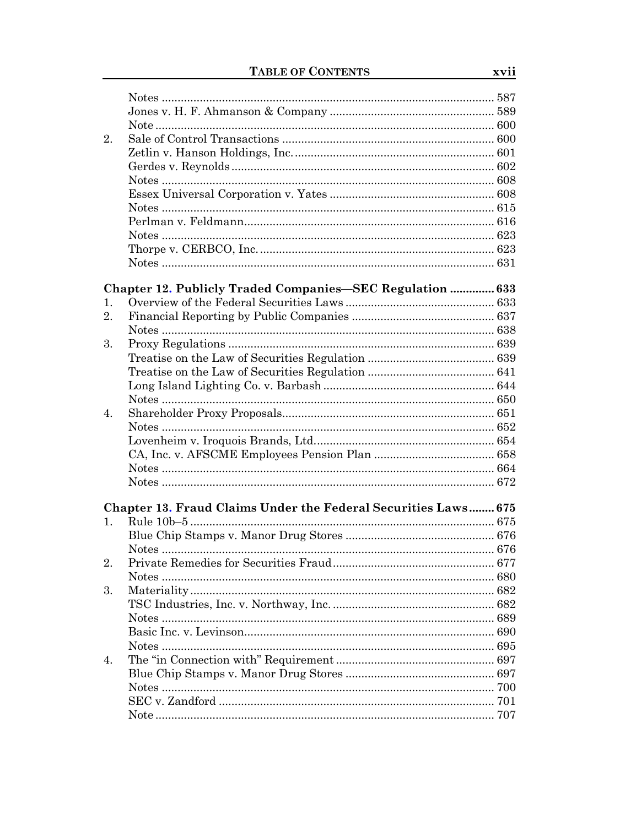| 2. |                                                                |  |
|----|----------------------------------------------------------------|--|
|    |                                                                |  |
|    |                                                                |  |
|    |                                                                |  |
|    |                                                                |  |
|    |                                                                |  |
|    |                                                                |  |
|    |                                                                |  |
|    |                                                                |  |
|    |                                                                |  |
|    |                                                                |  |
|    | Chapter 12. Publicly Traded Companies-SEC Regulation  633      |  |
| 1. |                                                                |  |
| 2. |                                                                |  |
|    |                                                                |  |
| 3. |                                                                |  |
|    |                                                                |  |
|    |                                                                |  |
|    |                                                                |  |
|    |                                                                |  |
|    |                                                                |  |
| 4. |                                                                |  |
|    |                                                                |  |
|    |                                                                |  |
|    |                                                                |  |
|    |                                                                |  |
|    |                                                                |  |
|    |                                                                |  |
|    | Chapter 13. Fraud Claims Under the Federal Securities Laws 675 |  |
| 1. |                                                                |  |
|    |                                                                |  |
|    |                                                                |  |
| 2. |                                                                |  |
|    |                                                                |  |
| 3. |                                                                |  |
|    |                                                                |  |
|    |                                                                |  |
|    |                                                                |  |
|    |                                                                |  |
| 4. |                                                                |  |
|    |                                                                |  |
|    |                                                                |  |
|    |                                                                |  |
|    |                                                                |  |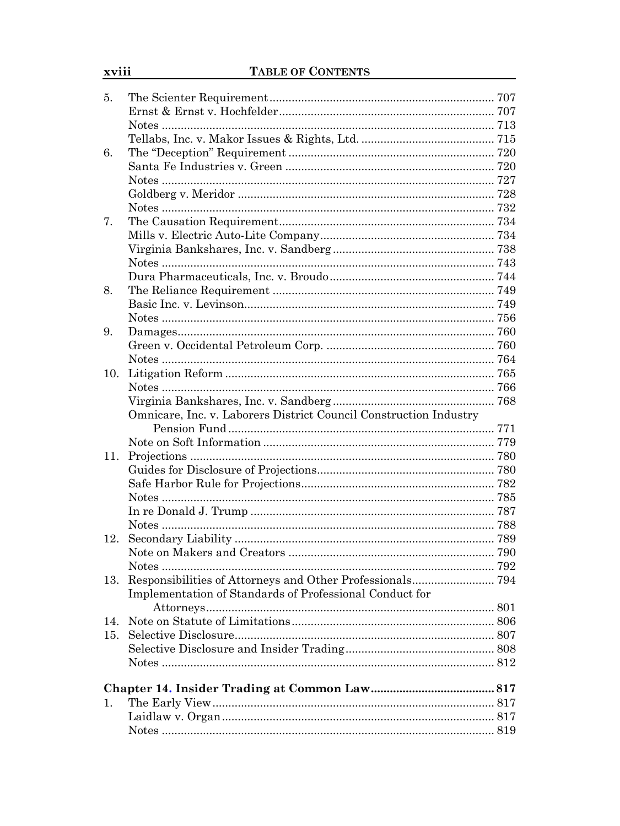| 5.  |                                                                   |  |
|-----|-------------------------------------------------------------------|--|
|     |                                                                   |  |
|     |                                                                   |  |
|     |                                                                   |  |
| 6.  |                                                                   |  |
|     |                                                                   |  |
|     |                                                                   |  |
|     |                                                                   |  |
|     |                                                                   |  |
| 7.  |                                                                   |  |
|     |                                                                   |  |
|     |                                                                   |  |
|     |                                                                   |  |
|     |                                                                   |  |
| 8.  |                                                                   |  |
|     |                                                                   |  |
|     |                                                                   |  |
| 9.  |                                                                   |  |
|     |                                                                   |  |
|     |                                                                   |  |
| 10. |                                                                   |  |
|     |                                                                   |  |
|     |                                                                   |  |
|     | Omnicare, Inc. v. Laborers District Council Construction Industry |  |
|     |                                                                   |  |
|     |                                                                   |  |
| 11. |                                                                   |  |
|     |                                                                   |  |
|     |                                                                   |  |
|     |                                                                   |  |
|     |                                                                   |  |
|     |                                                                   |  |
| 12. |                                                                   |  |
|     |                                                                   |  |
|     |                                                                   |  |
| 13. |                                                                   |  |
|     | Implementation of Standards of Professional Conduct for           |  |
|     |                                                                   |  |
| 14. |                                                                   |  |
| 15. |                                                                   |  |
|     |                                                                   |  |
|     |                                                                   |  |
|     |                                                                   |  |
|     |                                                                   |  |
| 1.  |                                                                   |  |
|     |                                                                   |  |
|     |                                                                   |  |
|     |                                                                   |  |

xviii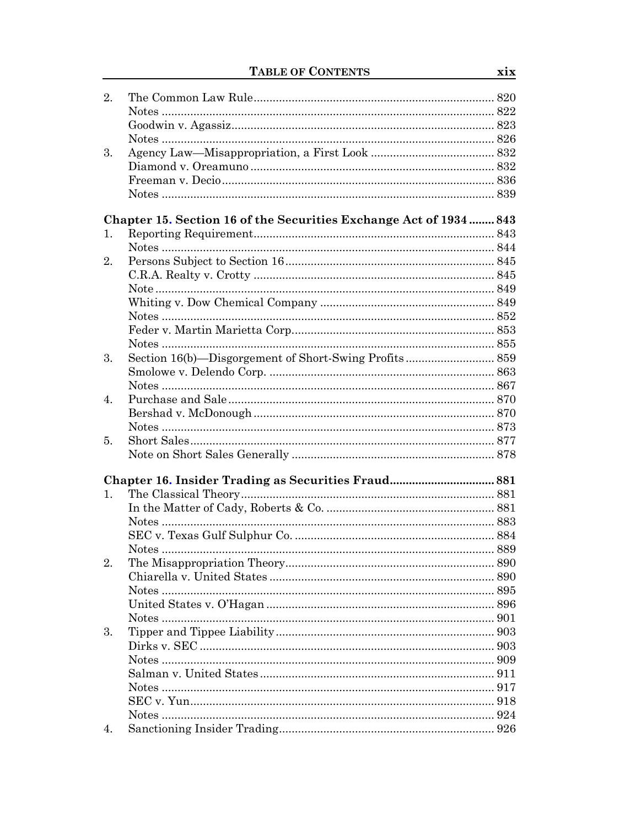| 2. |                                                                    |  |
|----|--------------------------------------------------------------------|--|
|    |                                                                    |  |
|    |                                                                    |  |
|    |                                                                    |  |
| 3. |                                                                    |  |
|    |                                                                    |  |
|    |                                                                    |  |
|    |                                                                    |  |
|    |                                                                    |  |
|    | Chapter 15. Section 16 of the Securities Exchange Act of 1934  843 |  |
| 1. |                                                                    |  |
|    |                                                                    |  |
| 2. |                                                                    |  |
|    |                                                                    |  |
|    |                                                                    |  |
|    |                                                                    |  |
|    |                                                                    |  |
|    |                                                                    |  |
|    |                                                                    |  |
| 3. |                                                                    |  |
|    |                                                                    |  |
|    |                                                                    |  |
| 4. |                                                                    |  |
|    |                                                                    |  |
|    |                                                                    |  |
| 5. |                                                                    |  |
|    |                                                                    |  |
|    |                                                                    |  |
| 1. |                                                                    |  |
|    |                                                                    |  |
|    | Notes                                                              |  |
|    |                                                                    |  |
|    |                                                                    |  |
| 2. |                                                                    |  |
|    |                                                                    |  |
|    |                                                                    |  |
|    |                                                                    |  |
|    |                                                                    |  |
| 3. |                                                                    |  |
|    |                                                                    |  |
|    |                                                                    |  |
|    |                                                                    |  |
|    |                                                                    |  |
|    |                                                                    |  |
|    |                                                                    |  |
|    |                                                                    |  |
| 4. |                                                                    |  |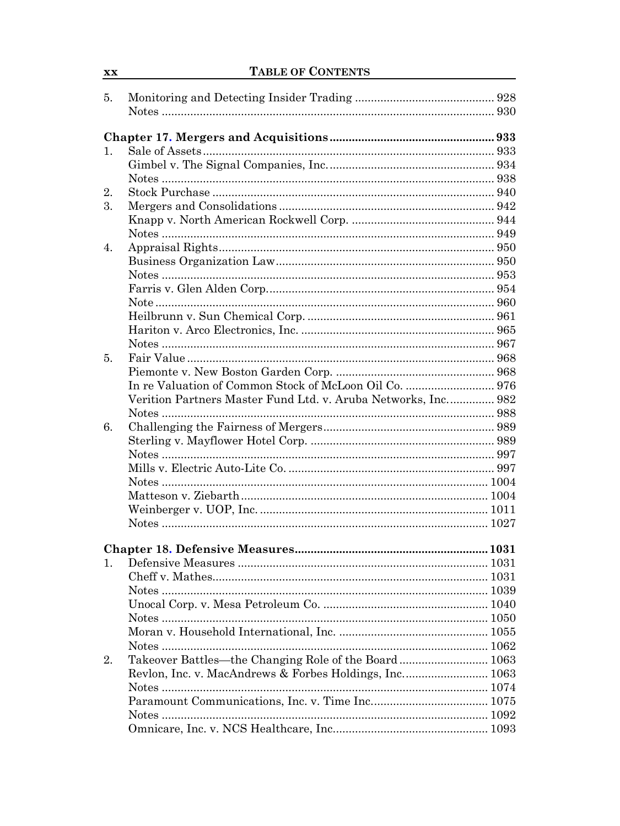| 5. |                                                               |  |
|----|---------------------------------------------------------------|--|
|    |                                                               |  |
|    |                                                               |  |
|    |                                                               |  |
| 1. |                                                               |  |
|    |                                                               |  |
|    |                                                               |  |
| 2. |                                                               |  |
| 3. |                                                               |  |
|    |                                                               |  |
|    |                                                               |  |
| 4. |                                                               |  |
|    |                                                               |  |
|    |                                                               |  |
|    |                                                               |  |
|    |                                                               |  |
|    |                                                               |  |
|    |                                                               |  |
|    |                                                               |  |
| 5. |                                                               |  |
|    |                                                               |  |
|    |                                                               |  |
|    | Verition Partners Master Fund Ltd. v. Aruba Networks, Inc 982 |  |
|    |                                                               |  |
| 6. |                                                               |  |
|    |                                                               |  |
|    |                                                               |  |
|    |                                                               |  |
|    |                                                               |  |
|    |                                                               |  |
|    |                                                               |  |
|    |                                                               |  |
|    |                                                               |  |
|    |                                                               |  |
| 1. |                                                               |  |
|    |                                                               |  |
|    |                                                               |  |
|    |                                                               |  |
|    |                                                               |  |
|    |                                                               |  |
|    |                                                               |  |
|    |                                                               |  |
| 2. | Takeover Battles—the Changing Role of the Board 1063          |  |
|    | Revlon, Inc. v. MacAndrews & Forbes Holdings, Inc 1063        |  |
|    |                                                               |  |
|    |                                                               |  |
|    | Notes                                                         |  |
|    |                                                               |  |

 $\overline{\mathbf{X}} \mathbf{X}$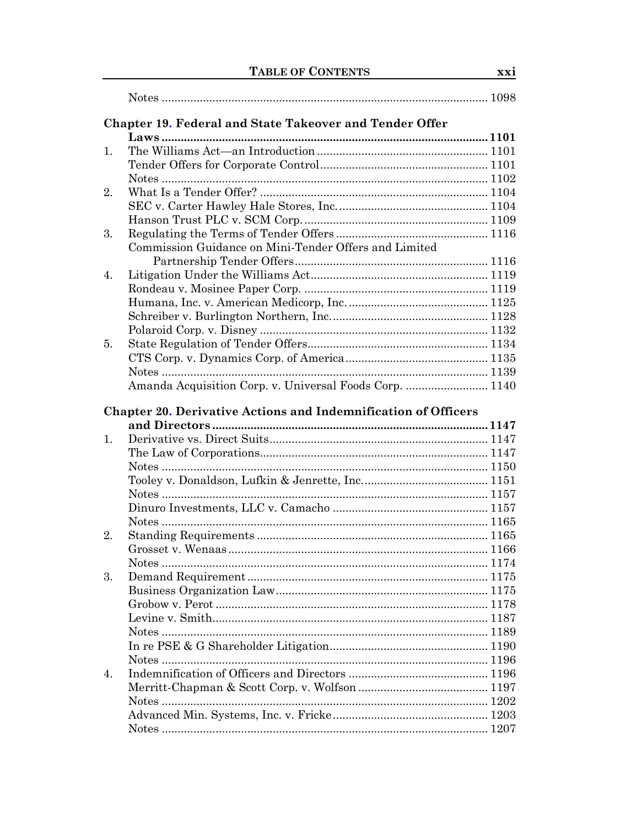|    | Chapter 19. Federal and State Takeover and Tender Offer               |  |
|----|-----------------------------------------------------------------------|--|
|    |                                                                       |  |
| 1. |                                                                       |  |
|    |                                                                       |  |
|    |                                                                       |  |
| 2. |                                                                       |  |
|    |                                                                       |  |
|    |                                                                       |  |
| 3. | Commission Guidance on Mini-Tender Offers and Limited                 |  |
|    |                                                                       |  |
| 4. |                                                                       |  |
|    |                                                                       |  |
|    |                                                                       |  |
|    |                                                                       |  |
|    |                                                                       |  |
| 5. |                                                                       |  |
|    |                                                                       |  |
|    |                                                                       |  |
|    | Amanda Acquisition Corp. v. Universal Foods Corp.  1140               |  |
|    | <b>Chapter 20. Derivative Actions and Indemnification of Officers</b> |  |
| 1. |                                                                       |  |
|    |                                                                       |  |
|    |                                                                       |  |
|    |                                                                       |  |
|    |                                                                       |  |
|    |                                                                       |  |
|    |                                                                       |  |
| 2. |                                                                       |  |
|    |                                                                       |  |
|    |                                                                       |  |
| 3. |                                                                       |  |
|    |                                                                       |  |
|    |                                                                       |  |
|    |                                                                       |  |
|    |                                                                       |  |
|    |                                                                       |  |
|    |                                                                       |  |
| 4. |                                                                       |  |
|    |                                                                       |  |
|    |                                                                       |  |
|    |                                                                       |  |
|    |                                                                       |  |